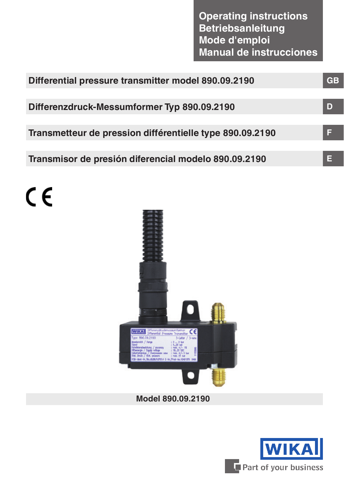**Operating instructions Betriebsanleitung Mode d'emploi Manual de instrucciones** 

| Differential pressure transmitter model 890.09.2190      | <b>GB</b> |
|----------------------------------------------------------|-----------|
| Differenzdruck-Messumformer Typ 890.09.2190              | D         |
| Transmetteur de pression différentielle type 890.09.2190 | Е         |
|                                                          |           |
| Transmisor de presión diferencial modelo 890.09.2190     | E         |

 $C \in$ 



**Model 890.09.2190** 

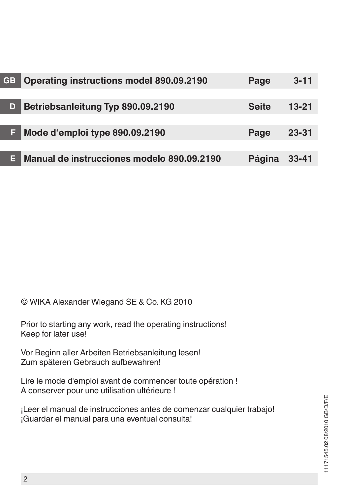| <b>GB</b> | <b>Operating instructions model 890.09.2190</b> | Page         | $3 - 11$  |
|-----------|-------------------------------------------------|--------------|-----------|
|           |                                                 |              |           |
| D         | Betriebsanleitung Typ 890.09.2190               | <b>Seite</b> | $13 - 21$ |
|           |                                                 |              |           |
| E         | Mode d'emploi type 890.09.2190                  | Page         | $23 - 31$ |
|           |                                                 |              |           |
| Е         | Manual de instrucciones modelo 890.09.2190      | Página       | $33 - 41$ |

© WIKA Alexander Wiegand SE & Co. KG 2010

Prior to starting any work, read the operating instructions! Keep for later use!

Vor Beginn aller Arbeiten Betriebsanleitung lesen! Zum späteren Gebrauch aufbewahren!

Lire le mode d'emploi avant de commencer toute opération ! A conserver pour une utilisation ultérieure !

¡Leer el manual de instrucciones antes de comenzar cualquier trabajo! ¡Guardar el manual para una eventual consulta!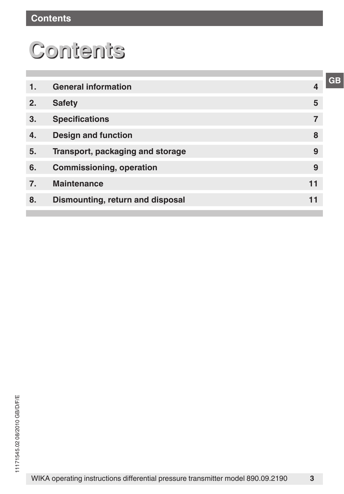# **Contents**

| 1. | <b>General information</b>       | 4              |
|----|----------------------------------|----------------|
| 2. | <b>Safety</b>                    | 5              |
| 3. | <b>Specifications</b>            | $\overline{7}$ |
| 4. | <b>Design and function</b>       | 8              |
| 5. | Transport, packaging and storage | 9              |
| 6. | <b>Commissioning, operation</b>  | 9              |
| 7. | <b>Maintenance</b>               | 11             |
| 8. | Dismounting, return and disposal | 11             |

**GB**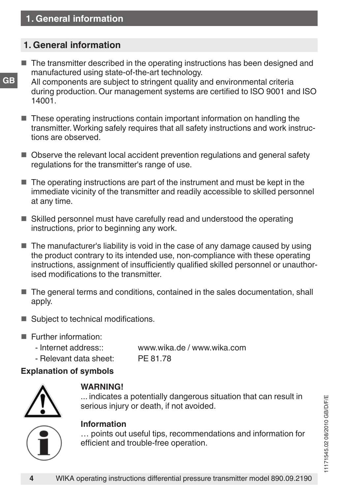## **1. General information**

- $\blacksquare$  The transmitter described in the operating instructions has been designed and manufactured using state-of-the-art technology.
- All components are subject to stringent quality and environmental criteria during production. Our management systems are certified to ISO 9001 and ISO 14001.
	- These operating instructions contain important information on handling the transmitter. Working safely requires that all safety instructions and work instructions are observed.
	- Observe the relevant local accident prevention regulations and general safety regulations for the transmitter's range of use.
	- $\blacksquare$  The operating instructions are part of the instrument and must be kept in the immediate vicinity of the transmitter and readily accessible to skilled personnel at any time.
	- Skilled personnel must have carefully read and understood the operating instructions, prior to beginning any work.
	- $\blacksquare$  The manufacturer's liability is void in the case of any damage caused by using the product contrary to its intended use, non-compliance with these operating instructions, assignment of insufficiently qualified skilled personnel or unauthorised modifications to the transmitter.
	- The general terms and conditions, contained in the sales documentation, shall apply.
	- Subject to technical modifications.
	- **Further information:** 
		- Internet address:: www.wika.de / www.wika.com
		- Relevant data sheet: PE 81.78
	- **Explanation of symbols**



## **WARNING!**

... indicates a potentially dangerous situation that can result in serious injury or death, if not avoided.

#### **Information**

… points out useful tips, recommendations and information for efficient and trouble-free operation.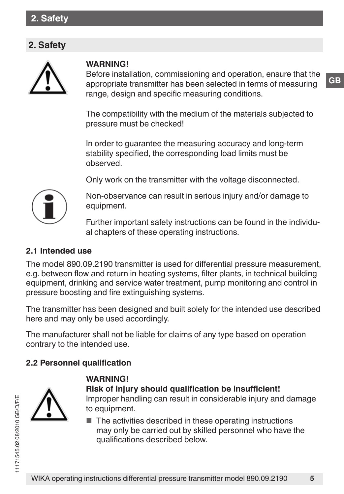# **2. Safety**



## **WARNING!**

Before installation, commissioning and operation, ensure that the appropriate transmitter has been selected in terms of measuring range, design and specific measuring conditions.

The compatibility with the medium of the materials subjected to pressure must be checked!

In order to guarantee the measuring accuracy and long-term stability specified, the corresponding load limits must be observed.

Only work on the transmitter with the voltage disconnected.



Non-observance can result in serious injury and/or damage to equipment.

Further important safety instructions can be found in the individual chapters of these operating instructions.

## **2.1 Intended use**

The model 890.09.2190 transmitter is used for differential pressure measurement, e.g. between flow and return in heating systems, filter plants, in technical building equipment, drinking and service water treatment, pump monitoring and control in pressure boosting and fire extinguishing systems.

The transmitter has been designed and built solely for the intended use described here and may only be used accordingly.

The manufacturer shall not be liable for claims of any type based on operation contrary to the intended use.

## **2.2 Personnel qualification**



## **WARNING!**

**Risk of injury should qualification be insufficient!** Improper handling can result in considerable injury and damage to equipment.

■ The activities described in these operating instructions may only be carried out by skilled personnel who have the qualifications described below.

**GB**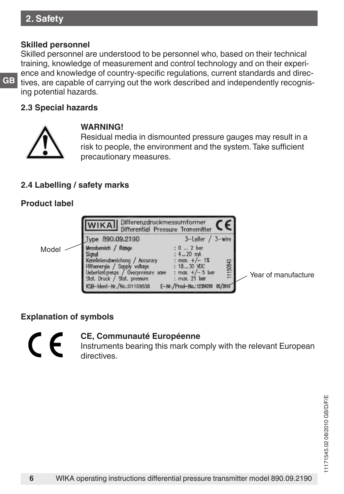# **2. Safety**

**GB**

#### **Skilled personnel**

Skilled personnel are understood to be personnel who, based on their technical training, knowledge of measurement and control technology and on their experience and knowledge of country-specific regulations, current standards and directives, are capable of carrying out the work described and independently recognising potential hazards.

**2.3 Special hazards**



#### **WARNING!**

Residual media in dismounted pressure gauges may result in a risk to people, the environment and the system. Take sufficient precautionary measures.

## **2.4 Labelling / safety marks**

#### **Product label**



## **Explanation of symbols**



#### **CE, Communauté Européenne**

Instruments bearing this mark comply with the relevant European directives.

**6**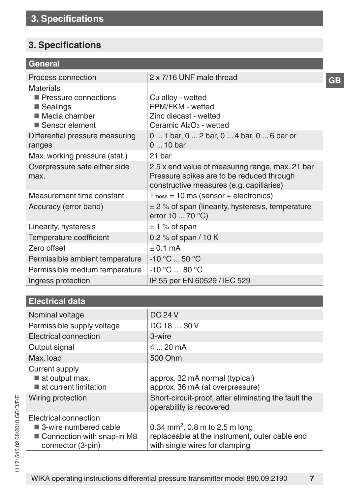# **3. Specifications**

| General                                          |                                                                                                                                          |
|--------------------------------------------------|------------------------------------------------------------------------------------------------------------------------------------------|
| Process connection                               | 2 x 7/16 UNF male thread                                                                                                                 |
| Materials                                        |                                                                                                                                          |
| Pressure connections                             | Cu alloy - wetted                                                                                                                        |
| $\blacksquare$ Sealings                          | FPM/FKM - wetted                                                                                                                         |
| $\blacksquare$ Media chamber<br>■ Sensor element | Zinc diecast - wetted<br>Ceramic Al2O <sub>3</sub> - wetted                                                                              |
|                                                  |                                                                                                                                          |
| Differential pressure measuring<br>ranges        | 0  1 bar, 0  2 bar, 0  4 bar, 0  6 bar or<br>$010$ bar                                                                                   |
| Max. working pressure (stat.)                    | 21 har                                                                                                                                   |
| Overpressure safe either side<br>max.            | 2.5 x end value of measuring range, max. 21 bar<br>Pressure spikes are to be reduced through<br>constructive measures (e.g. capillaries) |
| Measurement time constant                        | $T_{mess} = 10$ ms (sensor + electronics)                                                                                                |
| Accuracy (error band)                            | $\pm$ 2 % of span (linearity, hysteresis, temperature<br>error $10  70 °C$                                                               |
| Linearity, hysteresis                            | $± 1 %$ of span                                                                                                                          |
| Temperature coefficient                          | 0.2 % of span $/$ 10 K                                                                                                                   |
| Zero offset                                      | $+0.1 \text{ mA}$                                                                                                                        |
| Permissible ambient temperature                  | $-10 °C$ 50 °C                                                                                                                           |
| Permissible medium temperature                   | $-10$ °C $\ldots$ 80 °C                                                                                                                  |
| Ingress protection                               | IP 55 per EN 60529 / IEC 529                                                                                                             |

| <b>Electrical data</b>                                                                                |                                                                                                                                |
|-------------------------------------------------------------------------------------------------------|--------------------------------------------------------------------------------------------------------------------------------|
| Nominal voltage                                                                                       | <b>DC 24 V</b>                                                                                                                 |
| Permissible supply voltage                                                                            | DC 18  30 V                                                                                                                    |
| Electrical connection                                                                                 | 3-wire                                                                                                                         |
| Output signal                                                                                         | $420 \text{ mA}$                                                                                                               |
| Max. load                                                                                             | 500 Ohm                                                                                                                        |
| Current supply<br>at output max.<br>at current limitation                                             | approx. 32 mA normal (typical)<br>approx. 36 mA (at overpressure)                                                              |
| Wiring protection                                                                                     | Short-circuit-proof, after eliminating the fault the<br>operability is recovered                                               |
| Electrical connection<br>■ 3-wire numbered cable<br>■ Connection with snap-in M8<br>connector (3-pin) | 0.34 mm <sup>2</sup> , 0.8 m to 2.5 m long<br>replaceable at the instrument, outer cable end<br>with single wires for clamping |

**GB**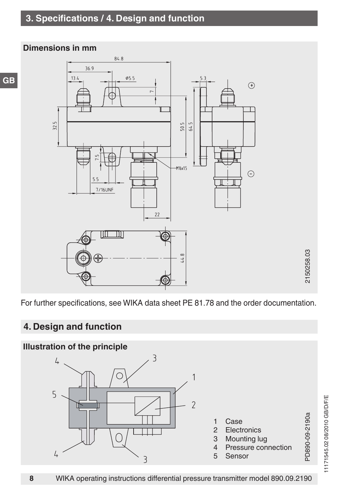# **3. Specifications / 4. Design and function**







For further specifications, see WIKA data sheet PE 81.78 and the order documentation.

# **4. Design and function**

# **Illustration of the principle**

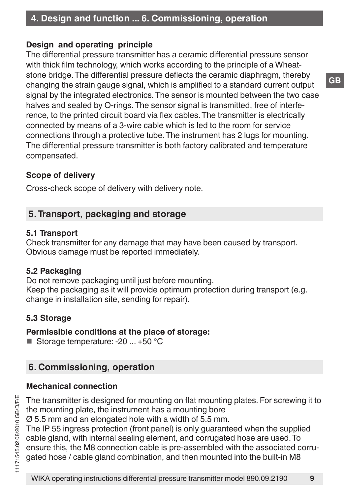## **Design and operating principle**

The differential pressure transmitter has a ceramic differential pressure sensor with thick film technology, which works according to the principle of a Wheatstone bridge. The differential pressure deflects the ceramic diaphragm, thereby changing the strain gauge signal, which is amplified to a standard current output signal by the integrated electronics. The sensor is mounted between the two case halves and sealed by O-rings. The sensor signal is transmitted, free of interference, to the printed circuit board via flex cables. The transmitter is electrically connected by means of a 3-wire cable which is led to the room for service connections through a protective tube. The instrument has 2 lugs for mounting. The differential pressure transmitter is both factory calibrated and temperature compensated.

## **Scope of delivery**

Cross-check scope of delivery with delivery note.

# **5. Transport, packaging and storage**

#### **5.1 Transport**

Check transmitter for any damage that may have been caused by transport. Obvious damage must be reported immediately.

#### **5.2 Packaging**

Do not remove packaging until just before mounting. Keep the packaging as it will provide optimum protection during transport (e.g. change in installation site, sending for repair).

## **5.3 Storage**

## **Permissible conditions at the place of storage:**

Storage temperature: -20  $\dots$  +50 °C

# **6. Commissioning, operation**

#### **Mechanical connection**

The transmitter is designed for mounting on flat mounting plates. For screwing it to the mounting plate, the instrument has a mounting bore

Ø 5.5 mm and an elongated hole with a width of 5.5 mm.

The IP 55 ingress protection (front panel) is only guaranteed when the supplied cable gland, with internal sealing element, and corrugated hose are used. To ensure this, the M8 connection cable is pre-assembled with the associated corrugated hose / cable gland combination, and then mounted into the built-in M8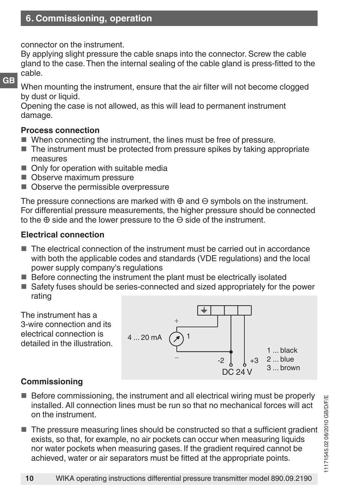# **6. Commissioning, operation**

connector on the instrument.

By applying slight pressure the cable snaps into the connector. Screw the cable gland to the case. Then the internal sealing of the cable gland is press-fitted to the cable.

**GB**

When mounting the instrument, ensure that the air filter will not become clogged by dust or liquid.

Opening the case is not allowed, as this will lead to permanent instrument damage.

#### **Process connection**

- When connecting the instrument, the lines must be free of pressure.
- $\blacksquare$  The instrument must be protected from pressure spikes by taking appropriate measures
- Only for operation with suitable media
- Observe maximum pressure
- Observe the permissible overpressure

The pressure connections are marked with  $\oplus$  and  $\ominus$  symbols on the instrument. For differential pressure measurements, the higher pressure should be connected to the ⊕ side and the lower pressure to the ⊖ side of the instrument.

#### **Electrical connection**

- The electrical connection of the instrument must be carried out in accordance with both the applicable codes and standards (VDE regulations) and the local power supply company's regulations
- $\blacksquare$  Before connecting the instrument the plant must be electrically isolated
- Safety fuses should be series-connected and sized appropriately for the power rating

The instrument has a 3-wire connection and its electrical connection is detailed in the illustration.



## **Commissioning**

- Before commissioning, the instrument and all electrical wiring must be properly installed. All connection lines must be run so that no mechanical forces will act on the instrument.
- The pressure measuring lines should be constructed so that a sufficient gradient exists, so that, for example, no air pockets can occur when measuring liquids nor water pockets when measuring gases. If the gradient required cannot be achieved, water or air separators must be fitted at the appropriate points.

11171545.02 08/2010 GB/D/F/E 11171545.02 08/2010 GB/D/F/E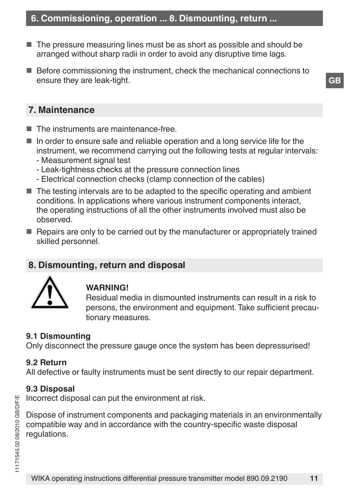# **6. Commissioning, operation ... 8. Dismounting, return ...**

- $\blacksquare$  The pressure measuring lines must be as short as possible and should be arranged without sharp radii in order to avoid any disruptive time lags.
- $\blacksquare$  Before commissioning the instrument, check the mechanical connections to ensure they are leak-tight.

## **7. Maintenance**

- The instruments are maintenance-free
- In order to ensure safe and reliable operation and a long service life for the instrument, we recommend carrying out the following tests at regular intervals: - Measurement signal test
	- Leak-tightness checks at the pressure connection lines
	- Electrical connection checks (clamp connection of the cables)
- $\blacksquare$  The testing intervals are to be adapted to the specific operating and ambient conditions. In applications where various instrument components interact, the operating instructions of all the other instruments involved must also be observed.
- $\blacksquare$  Repairs are only to be carried out by the manufacturer or appropriately trained skilled personnel.

## **8. Dismounting, return and disposal**



#### **WARNING!**

Residual media in dismounted instruments can result in a risk to persons, the environment and equipment. Take sufficient precautionary measures.

#### **9.1 Dismounting**

Only disconnect the pressure gauge once the system has been depressurised!

#### **9.2 Return**

All defective or faulty instruments must be sent directly to our repair department.

#### **9.3 Disposal**

Incorrect disposal can put the environment at risk.

Dispose of instrument components and packaging materials in an environmentally compatible way and in accordance with the country-specific waste disposal regulations.

**GB**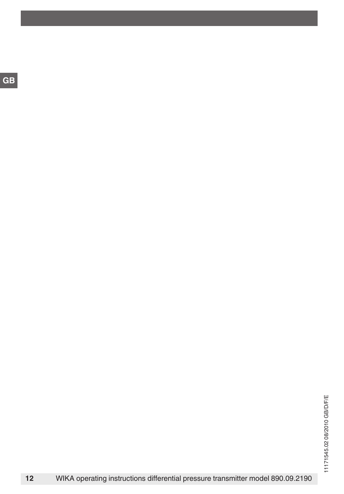**GB**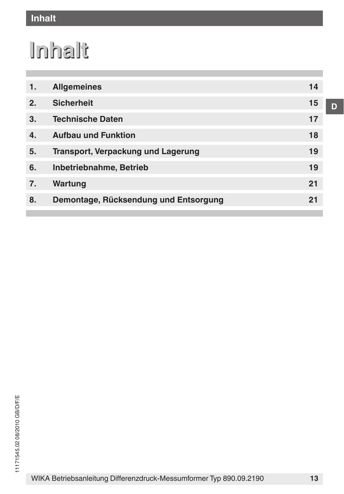# **Inhalt**

| 1. | <b>Allgemeines</b>                        | 14 |
|----|-------------------------------------------|----|
| 2. | <b>Sicherheit</b>                         | 15 |
| 3. | <b>Technische Daten</b>                   | 17 |
| 4. | <b>Aufbau und Funktion</b>                | 18 |
| 5. | <b>Transport, Verpackung und Lagerung</b> | 19 |
| 6. | Inbetriebnahme, Betrieb                   | 19 |
| 7. | Wartung                                   | 21 |
| 8. | Demontage, Rücksendung und Entsorgung     | 21 |
|    |                                           |    |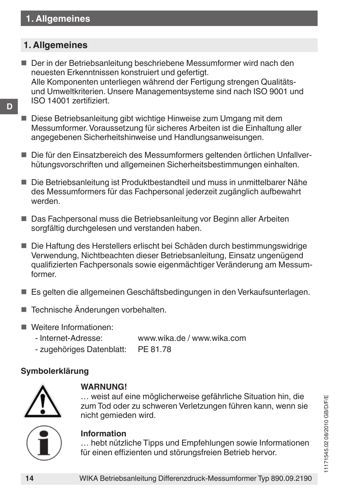## **1. Allgemeines**

■ Der in der Betriebsanleitung beschriebene Messumformer wird nach den neuesten Erkenntnissen konstruiert und gefertigt. Alle Komponenten unterliegen während der Fertigung strengen Qualitätsund Umweltkriterien. Unsere Managementsysteme sind nach ISO 9001 und ISO 14001 zertifiziert.

■ Diese Betriebsanleitung gibt wichtige Hinweise zum Umgang mit dem Messumformer. Voraussetzung für sicheres Arbeiten ist die Einhaltung aller angegebenen Sicherheitshinweise und Handlungsanweisungen.

 Die für den Einsatzbereich des Messumformers geltenden örtlichen Unfallverhütungsvorschriften und allgemeinen Sicherheitsbestimmungen einhalten.

 Die Betriebsanleitung ist Produktbestandteil und muss in unmittelbarer Nähe des Messumformers für das Fachpersonal jederzeit zugänglich aufbewahrt werden.

■ Das Fachpersonal muss die Betriebsanleitung vor Beginn aller Arbeiten sorgfältig durchgelesen und verstanden haben.

■ Die Haftung des Herstellers erlischt bei Schäden durch bestimmungswidrige Verwendung, Nichtbeachten dieser Betriebsanleitung, Einsatz ungenügend qualifizierten Fachpersonals sowie eigenmächtiger Veränderung am Messumformer.

Es gelten die allgemeinen Geschäftsbedingungen in den Verkaufsunterlagen.

■ Technische Änderungen vorbehalten.

- Weitere Informationen:
	- Internet-Adresse: www.wika.de / www.wika.com
	- zugehöriges Datenblatt: PE 81.78

#### **Symbolerklärung**



#### **WARNUNG!**

… weist auf eine möglicherweise gefährliche Situation hin, die zum Tod oder zu schweren Verletzungen führen kann, wenn sie nicht gemieden wird.



#### **Information**

… hebt nützliche Tipps und Empfehlungen sowie Informationen für einen effizienten und störungsfreien Betrieb hervor.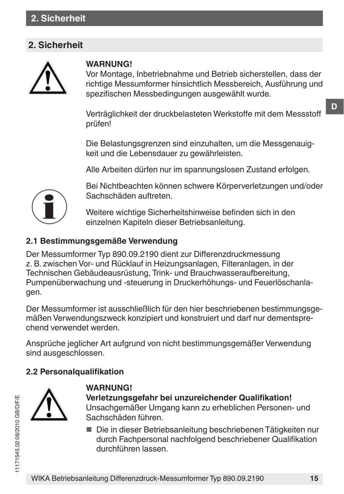# **2. Sicherheit**



## **WARNUNG!**

Vor Montage, Inbetriebnahme und Betrieb sicherstellen, dass der richtige Messumformer hinsichtlich Messbereich, Ausführung und spezifischen Messbedingungen ausgewählt wurde.

Verträglichkeit der druckbelasteten Werkstoffe mit dem Messstoff prüfen!

Die Belastungsgrenzen sind einzuhalten, um die Messgenauigkeit und die Lebensdauer zu gewährleisten.

Alle Arbeiten dürfen nur im spannungslosen Zustand erfolgen.



Bei Nichtbeachten können schwere Körperverletzungen und/oder Sachschäden auftreten.

Weitere wichtige Sicherheitshinweise befinden sich in den einzelnen Kapiteln dieser Betriebsanleitung.

## **2.1 Bestimmungsgemäße Verwendung**

Der Messumformer Typ 890.09.2190 dient zur Differenzdruckmessung z. B. zwischen Vor- und Rücklauf in Heizungsanlagen, Filteranlagen, in der Technischen Gebäudeausrüstung, Trink- und Brauchwasseraufbereitung, Pumpenüberwachung und -steuerung in Druckerhöhungs- und Feuerlöschanlagen.

Der Messumformer ist ausschließlich für den hier beschriebenen bestimmungsgemäßen Verwendungszweck konzipiert und konstruiert und darf nur dementsprechend verwendet werden.

Ansprüche jeglicher Art aufgrund von nicht bestimmungsgemäßer Verwendung sind ausgeschlossen.

## **2.2 Personalqualifikation**



## **WARNUNG!**

**Verletzungsgefahr bei unzureichender Qualifikation!** Unsachgemäßer Umgang kann zu erheblichen Personen- und Sachschäden führen.

■ Die in dieser Betriebsanleitung beschriebenen Tätigkeiten nur durch Fachpersonal nachfolgend beschriebener Qualifikation durchführen lassen.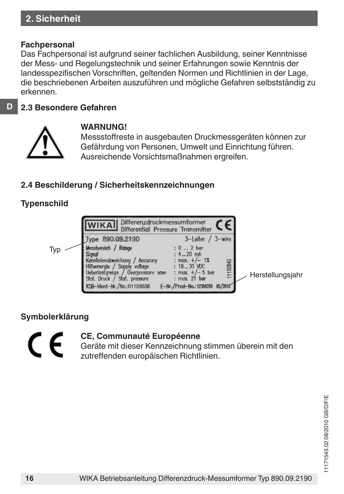#### **Fachpersonal**

Das Fachpersonal ist aufgrund seiner fachlichen Ausbildung, seiner Kenntnisse der Mess- und Regelungstechnik und seiner Erfahrungen sowie Kenntnis der landesspezifischen Vorschriften, geltenden Normen und Richtlinien in der Lage, die beschriebenen Arbeiten auszuführen und mögliche Gefahren selbstständig zu erkennen.

#### **D 2.3 Besondere Gefahren**



#### **WARNUNG!**

Messstoffreste in ausgebauten Druckmessgeräten können zur Gefährdung von Personen, Umwelt und Einrichtung führen. Ausreichende Vorsichtsmaßnahmen ergreifen.

## **2.4 Beschilderung / Sicherheitskennzeichnungen**

## **Typenschild**



## **Symbolerklärung**



#### **CE, Communauté Européenne**

Geräte mit dieser Kennzeichnung stimmen überein mit den zutreffenden europäischen Richtlinien.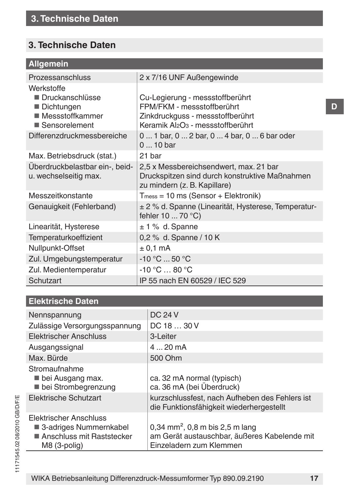# **3. Technische Daten**

| <b>Allgemein</b>                                                                      |                                                                                                                                                   |  |  |
|---------------------------------------------------------------------------------------|---------------------------------------------------------------------------------------------------------------------------------------------------|--|--|
| Prozessanschluss                                                                      | 2 x 7/16 UNF Außengewinde                                                                                                                         |  |  |
| Werkstoffe<br>■ Druckanschlüsse<br>Dichtungen<br>■ Messstoffkammer<br>■ Sensorelement | Cu-Legierung - messstoffberührt<br>FPM/FKM - messstoffberührt<br>Zinkdruckguss - messstoffberührt<br>Keramik Al2O <sub>3</sub> - messstoffberührt |  |  |
| Differenzdruckmessbereiche                                                            | 0  1 bar, 0  2 bar, 0  4 bar, 0  6 bar oder<br>$010$ bar                                                                                          |  |  |
| Max. Betriebsdruck (stat.)                                                            | 21 har                                                                                                                                            |  |  |
| Überdruckbelastbar ein-, beid-<br>u. wechselseitig max.                               | 2,5 x Messbereichsendwert, max. 21 bar<br>Druckspitzen sind durch konstruktive Maßnahmen<br>zu mindern (z. B. Kapillare)                          |  |  |
| Messzeitkonstante                                                                     | $T_{mess} = 10$ ms (Sensor + Elektronik)                                                                                                          |  |  |
| Genauigkeit (Fehlerband)                                                              | ± 2 % d. Spanne (Linearität, Hysterese, Temperatur-<br>fehler 10  70 °C)                                                                          |  |  |
| Linearität, Hysterese                                                                 | ± 1 % d. Spanne                                                                                                                                   |  |  |
| Temperaturkoeffizient                                                                 | 0,2 % d. Spanne / 10 K                                                                                                                            |  |  |
| Nullpunkt-Offset                                                                      | $± 0,1$ mA                                                                                                                                        |  |  |
| Zul. Umgebungstemperatur                                                              | $-10 °C  50 °C$                                                                                                                                   |  |  |
| Zul. Medientemperatur                                                                 | $-10 °C$ 80 °C                                                                                                                                    |  |  |
| Schutzart                                                                             | IP 55 nach EN 60529 / IEC 529                                                                                                                     |  |  |

# **Elektrische Daten**

| Nennspannung                                                                                    | <b>DC 24 V</b>                                                                                                         |
|-------------------------------------------------------------------------------------------------|------------------------------------------------------------------------------------------------------------------------|
| Zulässige Versorgungsspannung                                                                   | DC 18  30 V                                                                                                            |
| Elektrischer Anschluss                                                                          | 3-Leiter                                                                                                               |
| Ausgangssignal                                                                                  | $4 \dots 20$ mA                                                                                                        |
| Max. Bürde                                                                                      | 500 Ohm                                                                                                                |
| Stromaufnahme<br>bei Ausgang max.<br>■ bei Strombegrenzung                                      | ca. 32 mA normal (typisch)<br>ca. 36 mA (bei Überdruck)                                                                |
| Elektrische Schutzart                                                                           | kurzschlussfest, nach Aufheben des Fehlers ist<br>die Funktionsfähigkeit wiederhergestellt                             |
| Elektrischer Anschluss<br>■ 3-adriges Nummernkabel<br>Anschluss mit Raststecker<br>M8 (3-polig) | 0,34 mm <sup>2</sup> , 0,8 m bis 2,5 m lang<br>am Gerät austauschbar, äußeres Kabelende mit<br>Einzeladern zum Klemmen |

**D**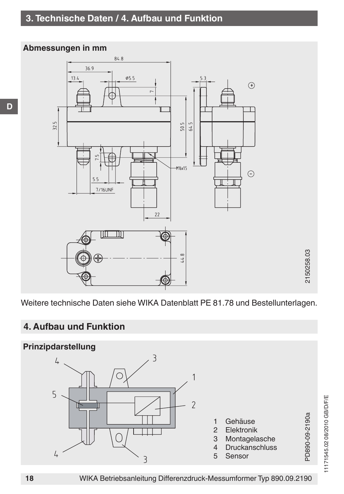# **3. Technische Daten / 4. Aufbau und Funktion**

#### **Abmessungen in mm**



Weitere technische Daten siehe WIKA Datenblatt PE 81.78 und Bestellunterlagen.

# **4. Aufbau und Funktion**

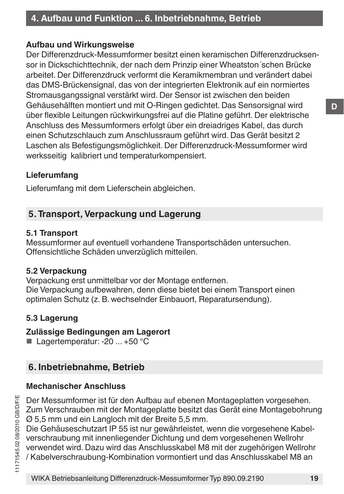## **Aufbau und Wirkungsweise**

Der Differenzdruck-Messumformer besitzt einen keramischen Differenzdrucksensor in Dickschichttechnik, der nach dem Prinzip einer Wheatston´schen Brücke arbeitet. Der Differenzdruck verformt die Keramikmembran und verändert dabei das DMS-Brückensignal, das von der integrierten Elektronik auf ein normiertes Stromausgangssignal verstärkt wird. Der Sensor ist zwischen den beiden Gehäusehälften montiert und mit O-Ringen gedichtet. Das Sensorsignal wird über flexible Leitungen rückwirkungsfrei auf die Platine geführt. Der elektrische Anschluss des Messumformers erfolgt über ein dreiadriges Kabel, das durch einen Schutzschlauch zum Anschlussraum geführt wird. Das Gerät besitzt 2 Laschen als Befestigungsmöglichkeit. Der Differenzdruck-Messumformer wird werksseitig kalibriert und temperaturkompensiert.

#### **Lieferumfang**

Lieferumfang mit dem Lieferschein abgleichen.

# **5. Transport, Verpackung und Lagerung**

#### **5.1 Transport**

Messumformer auf eventuell vorhandene Transportschäden untersuchen. Offensichtliche Schäden unverzüglich mitteilen.

#### **5.2 Verpackung**

Verpackung erst unmittelbar vor der Montage entfernen. Die Verpackung aufbewahren, denn diese bietet bei einem Transport einen optimalen Schutz (z. B. wechselnder Einbauort, Reparatursendung).

## **5.3 Lagerung**

## **Zulässige Bedingungen am Lagerort**

 $\blacksquare$  Lagertemperatur: -20 ... +50 °C

# **6. Inbetriebnahme, Betrieb**

## **Mechanischer Anschluss**

Der Messumformer ist für den Aufbau auf ebenen Montageplatten vorgesehen. Zum Verschrauben mit der Montageplatte besitzt das Gerät eine Montagebohrung Ø 5,5 mm und ein Langloch mit der Breite 5,5 mm.

Die Gehäuseschutzart IP 55 ist nur gewährleistet, wenn die vorgesehene Kabelverschraubung mit innenliegender Dichtung und dem vorgesehenen Wellrohr verwendet wird. Dazu wird das Anschlusskabel M8 mit der zugehörigen Wellrohr / Kabelverschraubung-Kombination vormontiert und das Anschlusskabel M8 an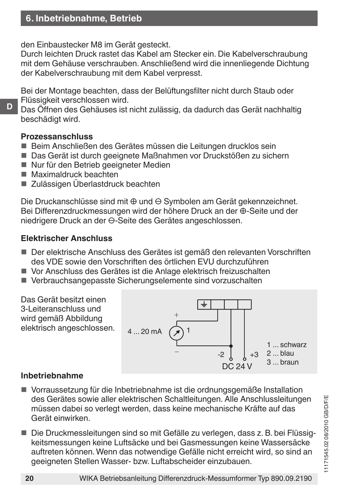den Einbaustecker M8 im Gerät gesteckt.

Durch leichten Druck rastet das Kabel am Stecker ein. Die Kabelverschraubung mit dem Gehäuse verschrauben. Anschließend wird die innenliegende Dichtung der Kabelverschraubung mit dem Kabel verpresst.

Bei der Montage beachten, dass der Belüftungsfilter nicht durch Staub oder Flüssigkeit verschlossen wird.

Das Öffnen des Gehäuses ist nicht zulässig, da dadurch das Gerät nachhaltig beschädigt wird.

## **Prozessanschluss**

- Beim Anschließen des Gerätes müssen die Leitungen drucklos sein
- Das Gerät ist durch geeignete Maßnahmen vor Druckstößen zu sichern
- Nur für den Betrieb geeigneter Medien
- Maximaldruck beachten
- Zulässigen Überlastdruck beachten

Die Druckanschlüsse sind mit ⊕ und ⊖ Symbolen am Gerät gekennzeichnet. Bei Differenzdruckmessungen wird der höhere Druck an der ⊕-Seite und der niedrigere Druck an der ⊖-Seite des Gerätes angeschlossen.

## **Elektrischer Anschluss**

- Der elektrische Anschluss des Gerätes ist gemäß den relevanten Vorschriften des VDE sowie den Vorschriften des örtlichen EVU durchzuführen
- Vor Anschluss des Gerätes ist die Anlage elektrisch freizuschalten
- Verbrauchsangepasste Sicherungselemente sind vorzuschalten

Das Gerät besitzt einen 3-Leiteranschluss und wird gemäß Abbildung elektrisch angeschlossen.



# **Inbetriebnahme**

- Vorraussetzung für die Inbetriebnahme ist die ordnungsgemäße Installation des Gerätes sowie aller elektrischen Schaltleitungen. Alle Anschlussleitungen müssen dabei so verlegt werden, dass keine mechanische Kräfte auf das Gerät einwirken.
- Die Druckmessleitungen sind so mit Gefälle zu verlegen, dass z. B. bei Flüssigkeitsmessungen keine Luftsäcke und bei Gasmessungen keine Wassersäcke auftreten können. Wenn das notwendige Gefälle nicht erreicht wird, so sind an geeigneten Stellen Wasser- bzw. Luftabscheider einzubauen.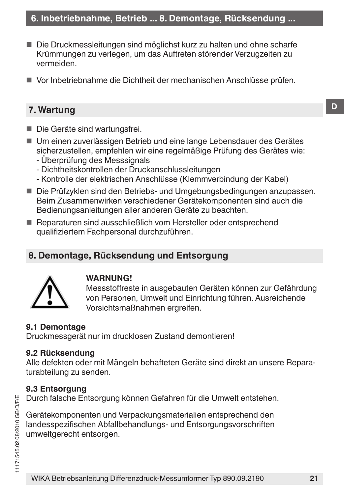## **6. Inbetriebnahme, Betrieb ... 8. Demontage, Rücksendung ...**

- Die Druckmessleitungen sind möglichst kurz zu halten und ohne scharfe Krümmungen zu verlegen, um das Auftreten störender Verzugzeiten zu vermeiden.
- Vor Inbetriebnahme die Dichtheit der mechanischen Anschlüsse prüfen.

## **7. Wartung**

**D**

- Die Geräte sind wartungsfrei.
- Um einen zuverlässigen Betrieb und eine lange Lebensdauer des Gerätes sicherzustellen, empfehlen wir eine regelmäßige Prüfung des Gerätes wie: - Überprüfung des Messsignals
	- Dichtheitskontrollen der Druckanschlussleitungen
	- Kontrolle der elektrischen Anschlüsse (Klemmverbindung der Kabel)
- Die Prüfzyklen sind den Betriebs- und Umgebungsbedingungen anzupassen. Beim Zusammenwirken verschiedener Gerätekomponenten sind auch die Bedienungsanleitungen aller anderen Geräte zu beachten.
- Reparaturen sind ausschließlich vom Hersteller oder entsprechend qualifiziertem Fachpersonal durchzuführen.

## **8. Demontage, Rücksendung und Entsorgung**



#### **WARNUNG!**

Messstoffreste in ausgebauten Geräten können zur Gefährdung von Personen, Umwelt und Einrichtung führen. Ausreichende Vorsichtsmaßnahmen ergreifen.

#### **9.1 Demontage**

Druckmessgerät nur im drucklosen Zustand demontieren!

#### **9.2 Rücksendung**

Alle defekten oder mit Mängeln behafteten Geräte sind direkt an unsere Reparaturabteilung zu senden.

#### **9.3 Entsorgung**

Durch falsche Entsorgung können Gefahren für die Umwelt entstehen.

Gerätekomponenten und Verpackungsmaterialien entsprechend den landesspezifischen Abfallbehandlungs- und Entsorgungsvorschriften umweltgerecht entsorgen.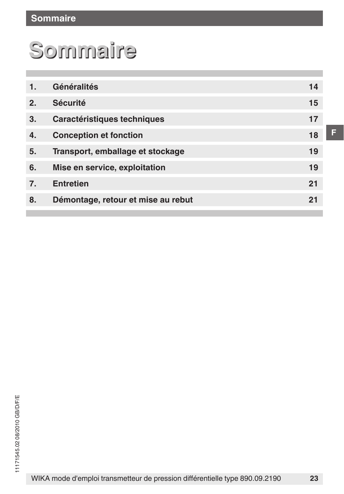# **Sommaire**

| 1.               | Généralités                        | 14 |
|------------------|------------------------------------|----|
| 2.               | <b>Sécurité</b>                    | 15 |
| 3.               | Caractéristiques techniques        | 17 |
| 4.               | <b>Conception et fonction</b>      | 18 |
| 5.               | Transport, emballage et stockage   | 19 |
| 6.               | Mise en service, exploitation      | 19 |
| $\overline{7}$ . | <b>Entretien</b>                   | 21 |
| 8.               | Démontage, retour et mise au rebut | 21 |

**F**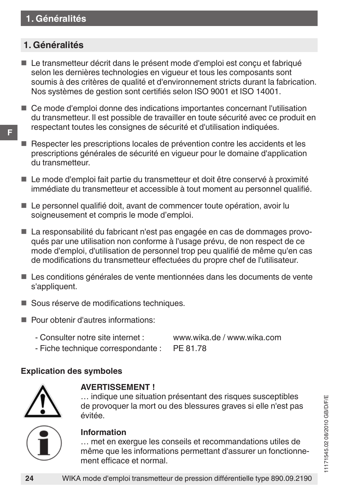# **1. Généralités**

- Le transmetteur décrit dans le présent mode d'emploi est conçu et fabriqué selon les dernières technologies en vigueur et tous les composants sont soumis à des critères de qualité et d'environnement stricts durant la fabrication. Nos systèmes de gestion sont certifiés selon ISO 9001 et ISO 14001.
- Ce mode d'emploi donne des indications importantes concernant l'utilisation du transmetteur. Il est possible de travailler en toute sécurité avec ce produit en respectant toutes les consignes de sécurité et d'utilisation indiquées.
- Respecter les prescriptions locales de prévention contre les accidents et les prescriptions générales de sécurité en vigueur pour le domaine d'application du transmetteur.
- Le mode d'emploi fait partie du transmetteur et doit être conservé à proximité immédiate du transmetteur et accessible à tout moment au personnel qualifié.
- Le personnel qualifié doit, avant de commencer toute opération, avoir lu soigneusement et compris le mode d'emploi.
- La responsabilité du fabricant n'est pas engagée en cas de dommages provoqués par une utilisation non conforme à l'usage prévu, de non respect de ce mode d'emploi, d'utilisation de personnel trop peu qualifié de même qu'en cas de modifications du transmetteur effectuées du propre chef de l'utilisateur.
- Les conditions générales de vente mentionnées dans les documents de vente s'appliquent.
- Sous réserve de modifications techniques.
- Pour obtenir d'autres informations:
	- Consulter notre site internet : www.wika.de / www.wika.com
	- Fiche technique correspondante : PE 81.78

# **Explication des symboles**



## **AVERTISSEMENT !**

… indique une situation présentant des risques susceptibles de provoquer la mort ou des blessures graves si elle n'est pas évitée.



## **Information**

… met en exergue les conseils et recommandations utiles de même que les informations permettant d'assurer un fonctionnement efficace et normal.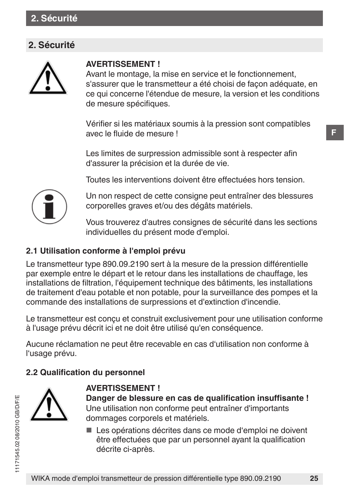# **2. Sécurité**



## **AVERTISSEMENT !**

Avant le montage, la mise en service et le fonctionnement, s'assurer que le transmetteur a été choisi de façon adéquate, en ce qui concerne l'étendue de mesure, la version et les conditions de mesure spécifiques.

Vérifier si les matériaux soumis à la pression sont compatibles avec le fluide de mesure !

Les limites de surpression admissible sont à respecter afin d'assurer la précision et la durée de vie.

Toutes les interventions doivent être effectuées hors tension.



Un non respect de cette consigne peut entraîner des blessures corporelles graves et/ou des dégâts matériels.

Vous trouverez d'autres consignes de sécurité dans les sections individuelles du présent mode d'emploi.

# **2.1 Utilisation conforme à l'emploi prévu**

Le transmetteur type 890.09.2190 sert à la mesure de la pression différentielle par exemple entre le départ et le retour dans les installations de chauffage, les installations de filtration, l'équipement technique des bâtiments, les installations de traitement d'eau potable et non potable, pour la surveillance des pompes et la commande des installations de surpressions et d'extinction d'incendie.

Le transmetteur est conçu et construit exclusivement pour une utilisation conforme à l'usage prévu décrit ici et ne doit être utilisé qu'en conséquence.

Aucune réclamation ne peut être recevable en cas d'utilisation non conforme à l'usage prévu.

## **2.2 Qualification du personnel**



#### **AVERTISSEMENT !**

**Danger de blessure en cas de qualification insuffisante !** Une utilisation non conforme peut entraîner d'importants dommages corporels et matériels.

Les opérations décrites dans ce mode d'emploi ne doivent être effectuées que par un personnel ayant la qualification décrite ci-après.

**F**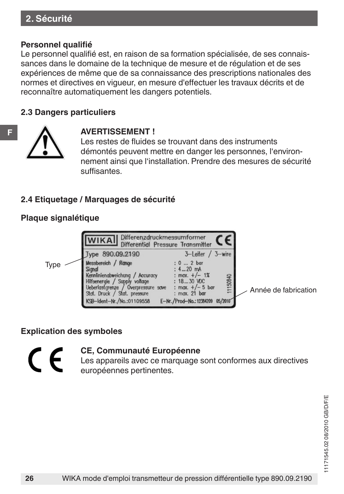#### **Personnel qualifié**

Le personnel qualifié est, en raison de sa formation spécialisée, de ses connaissances dans le domaine de la technique de mesure et de régulation et de ses expériences de même que de sa connaissance des prescriptions nationales des normes et directives en vigueur, en mesure d'effectuer les travaux décrits et de reconnaître automatiquement les dangers potentiels.

#### **2.3 Dangers particuliers**



**F**

#### **AVERTISSEMENT !**

Les restes de fluides se trouvant dans des instruments démontés peuvent mettre en danger les personnes, l'environnement ainsi que l'installation. Prendre des mesures de sécurité suffisantes.

## **2.4 Etiquetage / Marquages de sécurité**

#### **Plaque signalétique**



## **Explication des symboles**

# $\epsilon$

## **CE, Communauté Européenne**

Les appareils avec ce marquage sont conformes aux directives européennes pertinentes.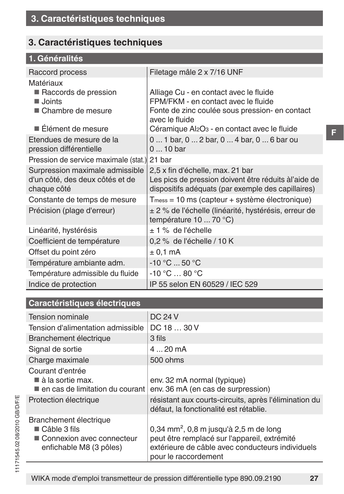# **3. Caractéristiques techniques**

| 1. Généralités                                                                      |                                                                                                                                                   |
|-------------------------------------------------------------------------------------|---------------------------------------------------------------------------------------------------------------------------------------------------|
| Raccord process                                                                     | Filetage mâle 2 x 7/16 UNF                                                                                                                        |
| Matériaux<br>■ Raccords de pression<br>$\blacksquare$ Joints<br>■ Chambre de mesure | Alliage Cu - en contact avec le fluide<br>FPM/FKM - en contact avec le fluide<br>Fonte de zinc coulée sous pression- en contact<br>avec le fluide |
| ■ Élément de mesure                                                                 | Céramique Al2O <sub>3</sub> - en contact avec le fluide                                                                                           |
| Etendues de mesure de la<br>pression différentielle                                 | 0  1 bar, 0  2 bar, 0  4 bar, 0  6 bar ou<br>$010$ bar                                                                                            |
| Pression de service maximale (stat.)                                                | 21 bar                                                                                                                                            |
| Surpression maximale admissible<br>d'un côté, des deux côtés et de<br>chaque côté   | 2,5 x fin d'échelle, max. 21 bar<br>Les pics de pression doivent être réduits à l'aide de<br>dispositifs adéquats (par exemple des capillaires)   |
| Constante de temps de mesure                                                        | $T_{\text{mess}} = 10 \text{ ms}$ (capteur + système électronique)                                                                                |
| Précision (plage d'erreur)                                                          | $\pm$ 2 % de l'échelle (linéarité, hystérésis, erreur de<br>température 10  70 $^{\circ}$ C)                                                      |
| Linéarité, hystérésis                                                               | $+1\%$ de l'échelle                                                                                                                               |
| Coefficient de température                                                          | 0,2 % de l'échelle / 10 K                                                                                                                         |
| Offset du point zéro                                                                | $± 0.1$ mA                                                                                                                                        |
| Température ambiante adm.                                                           | $-10 °C$ 50 °C                                                                                                                                    |
| Température admissible du fluide                                                    | $-10$ °C $\ldots$ 80 °C                                                                                                                           |
| Indice de protection                                                                | IP 55 selon EN 60529 / IEC 529                                                                                                                    |

# **Caractéristiques électriques**

| Tension nominale                                                                                                | <b>DC 24 V</b>                                                                                                                                                                   |
|-----------------------------------------------------------------------------------------------------------------|----------------------------------------------------------------------------------------------------------------------------------------------------------------------------------|
| Tension d'alimentation admissible                                                                               | DC 18  30 V                                                                                                                                                                      |
| Branchement électrique                                                                                          | 3 fils                                                                                                                                                                           |
| Signal de sortie                                                                                                | $420 \text{ mA}$                                                                                                                                                                 |
| Charge maximale                                                                                                 | 500 ohms                                                                                                                                                                         |
| Courant d'entrée<br>$\blacksquare$ à la sortie max.<br>en cas de limitation du courant<br>Protection électrique | env. 32 mA normal (typique)<br>env. 36 mA (en cas de surpression)<br>résistant aux courts-circuits, après l'élimination du<br>défaut, la fonctionalité est rétablie.             |
| Branchement électrique<br>$\blacksquare$ Câble 3 fils<br>Connexion avec connecteur<br>enfichable M8 (3 pôles)   | $0.34$ mm <sup>2</sup> , 0.8 m jusqu'à 2.5 m de long<br>peut être remplacé sur l'appareil, extrémité<br>extérieure de câble avec conducteurs individuels<br>pour le raccordement |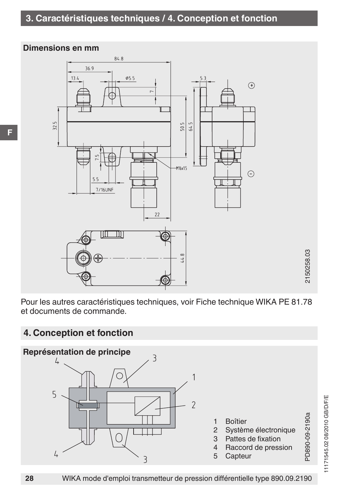# **3. Caractéristiques techniques / 4. Conception et fonction**

#### **Dimensions en mm**

**F**



Pour les autres caractéristiques techniques, voir Fiche technique WIKA PE 81.78 et documents de commande.

## **4. Conception et fonction**



**28** WIKA mode d'emploi transmetteur de pression différentielle type 890.09.2190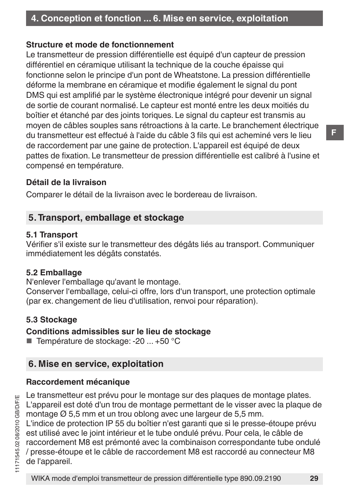#### **Structure et mode de fonctionnement**

Le transmetteur de pression différentielle est équipé d'un capteur de pression différentiel en céramique utilisant la technique de la couche épaisse qui fonctionne selon le principe d'un pont de Wheatstone. La pression différentielle déforme la membrane en céramique et modifie également le signal du pont DMS qui est amplifié par le système électronique intégré pour devenir un signal de sortie de courant normalisé. Le capteur est monté entre les deux moitiés du boîtier et étanché par des joints toriques. Le signal du capteur est transmis au moyen de câbles souples sans rétroactions à la carte. Le branchement électrique du transmetteur est effectué à l'aide du câble 3 fils qui est acheminé vers le lieu de raccordement par une gaine de protection. L'appareil est équipé de deux pattes de fixation. Le transmetteur de pression différentielle est calibré à l'usine et compensé en température.

#### **Détail de la livraison**

Comparer le détail de la livraison avec le bordereau de livraison.

## **5. Transport, emballage et stockage**

#### **5.1 Transport**

Vérifier s'il existe sur le transmetteur des dégâts liés au transport. Communiquer immédiatement les dégâts constatés.

#### **5.2 Emballage**

N'enlever l'emballage qu'avant le montage.

Conserver l'emballage, celui-ci offre, lors d'un transport, une protection optimale (par ex. changement de lieu d'utilisation, renvoi pour réparation).

## **5.3 Stockage**

## **Conditions admissibles sur le lieu de stockage**

 $\blacksquare$  Température de stockage: -20 ... +50 °C

## **6. Mise en service, exploitation**

## **Raccordement mécanique**

11171545.02 08/2010 GB/D/F/E 11171545.02 08/2010 GB/D/F/E Le transmetteur est prévu pour le montage sur des plaques de montage plates. L'appareil est doté d'un trou de montage permettant de le visser avec la plaque de montage Ø 5,5 mm et un trou oblong avec une largeur de 5,5 mm.

L'indice de protection IP 55 du boîtier n'est garanti que si le presse-étoupe prévu est utilisé avec le joint intérieur et le tube ondulé prévu. Pour cela, le câble de raccordement M8 est prémonté avec la combinaison correspondante tube ondulé / presse-étoupe et le câble de raccordement M8 est raccordé au connecteur M8 de l'appareil.

**F**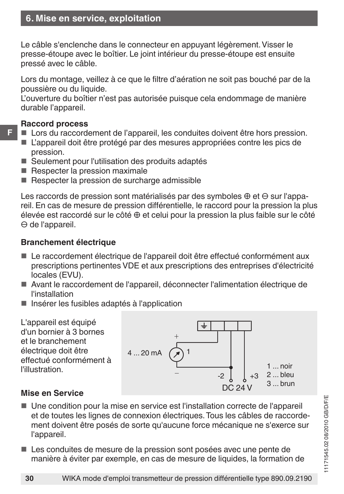Le câble s'enclenche dans le connecteur en appuyant légèrement. Visser le presse-étoupe avec le boîtier. Le joint intérieur du presse-étoupe est ensuite pressé avec le câble.

Lors du montage, veillez à ce que le filtre d'aération ne soit pas bouché par de la poussière ou du liquide.

L'ouverture du boîtier n'est pas autorisée puisque cela endommage de manière durable l'appareil.

## **Raccord process**

**F**

- Lors du raccordement de l'appareil, les conduites doivent être hors pression.
- L'appareil doit être protégé par des mesures appropriées contre les pics de pression.
- Seulement pour l'utilisation des produits adaptés
- Respecter la pression maximale
- Respecter la pression de surcharge admissible

Les raccords de pression sont matérialisés par des symboles ⊕ et ⊖ sur l'appareil. En cas de mesure de pression différentielle, le raccord pour la pression la plus élevée est raccordé sur le côté ⊕ et celui pour la pression la plus faible sur le côté ⊖ de l'appareil.

## **Branchement électrique**

- Le raccordement électrique de l'appareil doit être effectué conformément aux prescriptions pertinentes VDE et aux prescriptions des entreprises d'électricité locales (EVU).
- Avant le raccordement de l'appareil, déconnecter l'alimentation électrique de l'installation
- Insérer les fusibles adaptés à l'application

L'appareil est équipé d'un bornier à 3 bornes et le branchement électrique doit être effectué conformément à l'illustration.



## **Mise en Service**

- Une condition pour la mise en service est l'installation correcte de l'appareil et de toutes les lignes de connexion électriques. Tous les câbles de raccordement doivent être posés de sorte qu'aucune force mécanique ne s'exerce sur l'appareil.
- Les conduites de mesure de la pression sont posées avec une pente de manière à éviter par exemple, en cas de mesure de liquides, la formation de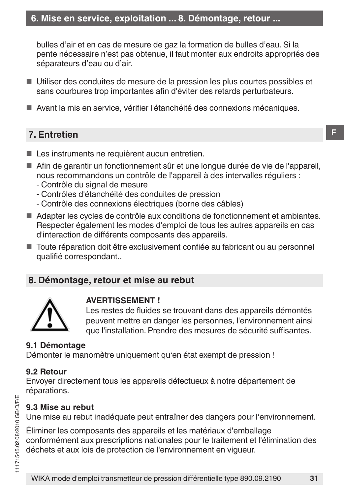bulles d'air et en cas de mesure de gaz la formation de bulles d'eau. Si la pente nécessaire n'est pas obtenue, il faut monter aux endroits appropriés des séparateurs d'eau ou d'air.

- Utiliser des conduites de mesure de la pression les plus courtes possibles et sans courbures trop importantes afin d'éviter des retards perturbateurs.
- Avant la mis en service, vérifier l'étanchéité des connexions mécaniques.

# **7. Entretien**

- Les instruments ne requièrent aucun entretien.
- Afin de garantir un fonctionnement sûr et une longue durée de vie de l'appareil, nous recommandons un contrôle de l'appareil à des intervalles réguliers :
	- Contrôle du signal de mesure
	- Contrôles d'étanchéité des conduites de pression
	- Contrôle des connexions électriques (borne des câbles)
- Adapter les cycles de contrôle aux conditions de fonctionnement et ambiantes. Respecter également les modes d'emploi de tous les autres appareils en cas d'interaction de différents composants des appareils.
- Toute réparation doit être exclusivement confiée au fabricant ou au personnel qualifié correspondant..

# **8. Démontage, retour et mise au rebut**



#### **AVERTISSEMENT !**

Les restes de fluides se trouvant dans des appareils démontés peuvent mettre en danger les personnes, l'environnement ainsi que l'installation. Prendre des mesures de sécurité suffisantes.

## **9.1 Démontage**

Démonter le manomètre uniquement qu'en état exempt de pression !

#### **9.2 Retour**

Envoyer directement tous les appareils défectueux à notre département de réparations.

#### **9.3 Mise au rebut**

Une mise au rebut inadéquate peut entraîner des dangers pour l'environnement.

Éliminer les composants des appareils et les matériaux d'emballage conformément aux prescriptions nationales pour le traitement et l'élimination des déchets et aux lois de protection de l'environnement en vigueur.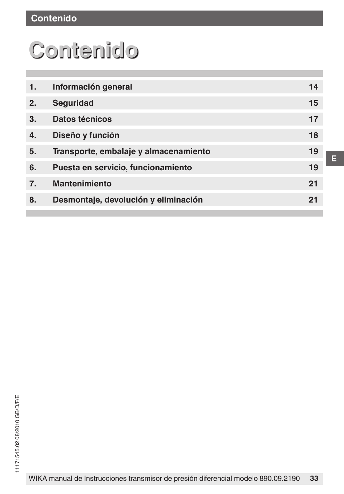# **Contenido**

| 1. | Información general                   | 14 |
|----|---------------------------------------|----|
| 2. | <b>Seguridad</b>                      | 15 |
| 3. | Datos técnicos                        | 17 |
| 4. | Diseño y función                      | 18 |
| 5. | Transporte, embalaje y almacenamiento | 19 |
| 6. | Puesta en servicio, funcionamiento    | 19 |
| 7. | <b>Mantenimiento</b>                  | 21 |
| 8. | Desmontaje, devolución y eliminación  | 21 |
|    |                                       |    |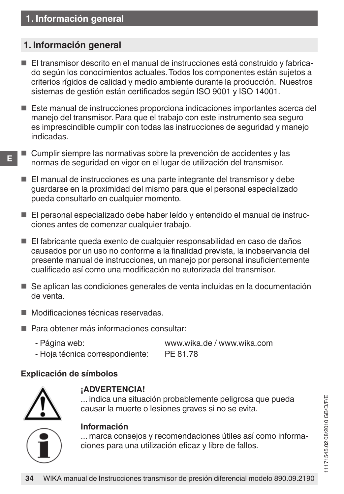## **1. Información general**

- El transmisor descrito en el manual de instrucciones está construido y fabricado según los conocimientos actuales. Todos los componentes están sujetos a criterios rígidos de calidad y medio ambiente durante la producción. Nuestros sistemas de gestión están certificados según ISO 9001 y ISO 14001.
- Este manual de instrucciones proporciona indicaciones importantes acerca del manejo del transmisor. Para que el trabajo con este instrumento sea seguro es imprescindible cumplir con todas las instrucciones de seguridad y manejo indicadas.
- Cumplir siempre las normativas sobre la prevención de accidentes y las normas de seguridad en vigor en el lugar de utilización del transmisor.
	- El manual de instrucciones es una parte integrante del transmisor y debe guardarse en la proximidad del mismo para que el personal especializado pueda consultarlo en cualquier momento.
	- El personal especializado debe haber leído y entendido el manual de instrucciones antes de comenzar cualquier trabajo.
	- El fabricante queda exento de cualquier responsabilidad en caso de daños causados por un uso no conforme a la finalidad prevista, la inobservancia del presente manual de instrucciones, un manejo por personal insuficientemente cualificado así como una modificación no autorizada del transmisor.
	- Se aplican las condiciones generales de venta incluidas en la documentación de venta.
	- Modificaciones técnicas reservadas.
	- Para obtener más informaciones consultar:
		- Página web: www.wika.de / www.wika.com - Hoja técnica correspondiente: PE 81.78

## **Explicación de símbolos**



## **¡ADVERTENCIA!**

... indica una situación probablemente peligrosa que pueda causar la muerte o lesiones graves si no se evita.



## **Información**

... marca consejos y recomendaciones útiles así como informaciones para una utilización eficaz y libre de fallos.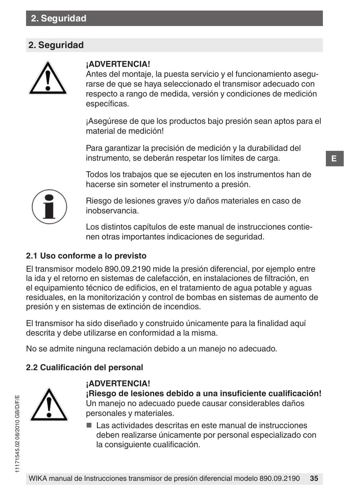# **2. Seguridad**



#### **¡ADVERTENCIA!**

Antes del montaje, la puesta servicio y el funcionamiento asegurarse de que se haya seleccionado el transmisor adecuado con respecto a rango de medida, versión y condiciones de medición específicas.

¡Asegúrese de que los productos bajo presión sean aptos para el material de medición!

Para garantizar la precisión de medición y la durabilidad del instrumento, se deberán respetar los límites de carga.

Todos los trabajos que se ejecuten en los instrumentos han de hacerse sin someter el instrumento a presión.



Riesgo de lesiones graves y/o daños materiales en caso de inobservancia.

Los distintos capítulos de este manual de instrucciones contienen otras importantes indicaciones de seguridad.

## **2.1 Uso conforme a lo previsto**

El transmisor modelo 890.09.2190 mide la presión diferencial, por ejemplo entre la ida y el retorno en sistemas de calefacción, en instalaciones de filtración, en el equipamiento técnico de edificios, en el tratamiento de agua potable y aguas residuales, en la monitorización y control de bombas en sistemas de aumento de presión y en sistemas de extinción de incendios.

El transmisor ha sido diseñado y construido únicamente para la finalidad aquí descrita y debe utilizarse en conformidad a la misma.

No se admite ninguna reclamación debido a un manejo no adecuado.

## **2.2 Cualificación del personal**



#### **¡ADVERTENCIA!**

**¡Riesgo de lesiones debido a una insuficiente cualificación!** Un manejo no adecuado puede causar considerables daños personales y materiales.

■ Las actividades descritas en este manual de instrucciones deben realizarse únicamente por personal especializado con la consiguiente cualificación.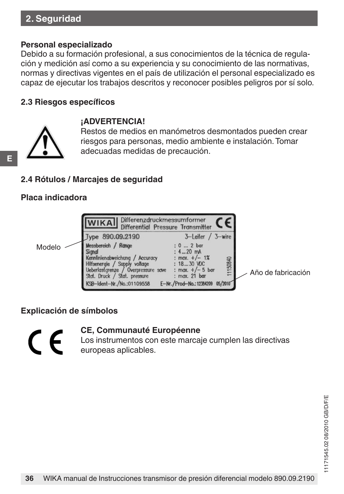# **2. Seguridad**

#### **Personal especializado**

Debido a su formación profesional, a sus conocimientos de la técnica de regulación y medición así como a su experiencia y su conocimiento de las normativas, normas y directivas vigentes en el país de utilización el personal especializado es capaz de ejecutar los trabajos descritos y reconocer posibles peligros por sí solo.

#### **2.3 Riesgos específicos**

#### **¡ADVERTENCIA!**



Restos de medios en manómetros desmontados pueden crear riesgos para personas, medio ambiente e instalación. Tomar adecuadas medidas de precaución.

## **2.4 Rótulos / Marcajes de seguridad**

#### **Placa indicadora**



## **Explicación de símbolos**



#### **CE, Communauté Européenne**

Los instrumentos con este marcaje cumplen las directivas europeas aplicables.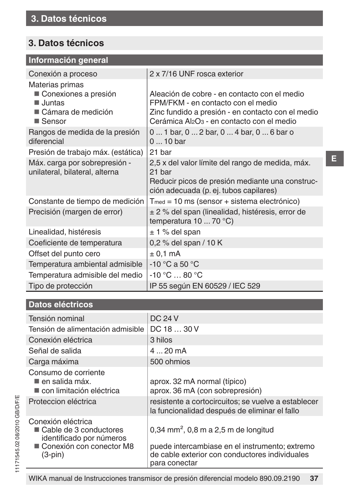# **3. Datos técnicos**

| Información general                                                                     |                                                                                                                                                                                                  |
|-----------------------------------------------------------------------------------------|--------------------------------------------------------------------------------------------------------------------------------------------------------------------------------------------------|
| Conexión a proceso                                                                      | 2 x 7/16 UNF rosca exterior                                                                                                                                                                      |
| Materias primas<br>■ Conexiones a presión<br>Uuntas<br>■ Cámara de medición<br>■ Sensor | Aleación de cobre - en contacto con el medio<br>FPM/FKM - en contacto con el medio<br>Zinc fundido a presión - en contacto con el medio<br>Cerámica Al2O <sub>3</sub> - en contacto con el medio |
| Rangos de medida de la presión<br>diferencial                                           | 0  1 bar, 0  2 bar, 0  4 bar, 0  6 bar o<br>$010$ bar                                                                                                                                            |
| Presión de trabajo máx. (estática)                                                      | 21 bar                                                                                                                                                                                           |
| Máx. carga por sobrepresión -<br>unilateral, bilateral, alterna                         | 2,5 x del valor límite del rango de medida, máx.<br>21 bar<br>Reducir picos de presión mediante una construc-<br>ción adecuada (p. ej. tubos capilares)                                          |
| Constante de tiempo de medición                                                         | $T_{\text{med}} = 10 \text{ ms}$ (sensor + sistema electrónico)                                                                                                                                  |
| Precisión (margen de error)                                                             | $\pm$ 2 % del span (linealidad, histéresis, error de<br>temperatura 10  70 $^{\circ}$ C)                                                                                                         |
| Linealidad, histéresis                                                                  | $\pm$ 1 % del span                                                                                                                                                                               |
| Coeficiente de temperatura                                                              | 0,2 % del span / 10 K                                                                                                                                                                            |
| Offset del punto cero                                                                   | $± 0.1$ mA                                                                                                                                                                                       |
| Temperatura ambiental admisible                                                         | $-10$ °C a 50 °C                                                                                                                                                                                 |
| Temperatura admisible del medio                                                         | $-10\,^{\circ}\text{C}$ 80 $^{\circ}\text{C}$                                                                                                                                                    |
| Tipo de protección                                                                      | IP 55 según EN 60529 / IEC 529                                                                                                                                                                   |

# **Datos eléctricos**

11171545.02 08/2010 GB/D/F/E

11171545.02 08/2010 GB/D/F/E

| Tensión nominal                                                                                                     | <b>DC 24 V</b>                                                                                                                                                          |
|---------------------------------------------------------------------------------------------------------------------|-------------------------------------------------------------------------------------------------------------------------------------------------------------------------|
| Tensión de alimentación admisible                                                                                   | DC 18  30 V                                                                                                                                                             |
| Conexión eléctrica                                                                                                  | 3 hilos                                                                                                                                                                 |
| Señal de salida                                                                                                     | $420$ mA                                                                                                                                                                |
| Carga máxima                                                                                                        | 500 ohmios                                                                                                                                                              |
| Consumo de corriente<br>$\blacksquare$ en salida máx.<br>con limitación eléctrica<br>Proteccion eléctrica           | aprox. 32 mA normal (típico)<br>aprox. 36 mA (con sobrepresión)<br>resistente a cortocircuitos; se vuelve a establecer<br>la funcionalidad después de eliminar el fallo |
| Conexión eléctrica<br>■ Cable de 3 conductores<br>identificado por números<br>■ Conexión con conector M8<br>(3-pin) | 0,34 mm <sup>2</sup> , 0,8 m a 2,5 m de longitud<br>puede intercambiase en el instrumento; extremo<br>de cable exterior con conductores individuales<br>para conectar   |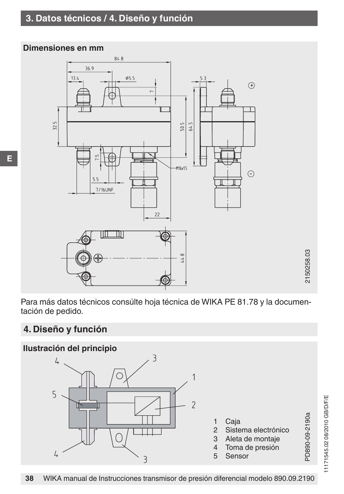# **3. Datos técnicos / 4. Diseño y función**

#### **Dimensiones en mm**



Para más datos técnicos consúlte hoja técnica de WIKA PE 81.78 y la documentación de pedido.

# **4. Diseño y función**

#### **Ilustración del principio**

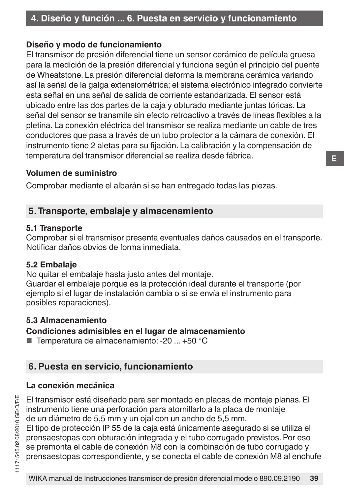## **Diseño y modo de funcionamiento**

El transmisor de presión diferencial tiene un sensor cerámico de película gruesa para la medición de la presión diferencial y funciona según el principio del puente de Wheatstone. La presión diferencial deforma la membrana cerámica variando así la señal de la galga extensiométrica; el sistema electrónico integrado convierte esta señal en una señal de salida de corriente estandarizada. El sensor está ubicado entre las dos partes de la caja y obturado mediante juntas tóricas. La señal del sensor se transmite sin efecto retroactivo a través de líneas flexibles a la pletina. La conexión eléctrica del transmisor se realiza mediante un cable de tres conductores que pasa a través de un tubo protector a la cámara de conexión. El instrumento tiene 2 aletas para su fijación. La calibración y la compensación de temperatura del transmisor diferencial se realiza desde fábrica.

## **Volumen de suministro**

Comprobar mediante el albarán si se han entregado todas las piezas.

# **5. Transporte, embalaje y almacenamiento**

#### **5.1 Transporte**

Comprobar si el transmisor presenta eventuales daños causados en el transporte. Notificar daños obvios de forma inmediata.

#### **5.2 Embalaje**

No quitar el embalaje hasta justo antes del montaje.

Guardar el embalaje porque es la protección ideal durante el transporte (por ejemplo si el lugar de instalación cambia o si se envía el instrumento para posibles reparaciones).

#### **5.3 Almacenamiento**

## **Condiciones admisibles en el lugar de almacenamiento**

■ Temperatura de almacenamiento: -20 ... +50 °C

# **6. Puesta en servicio, funcionamiento**

#### **La conexión mecánica**

El transmisor está diseñado para ser montado en placas de montaje planas. El instrumento tiene una perforación para atornillarlo a la placa de montaje de un diámetro de 5,5 mm y un ojal con un ancho de 5,5 mm.

El tipo de protección IP 55 de la caja está únicamente asegurado si se utiliza el prensaestopas con obturación integrada y el tubo corrugado previstos. Por eso se premonta el cable de conexión M8 con la combinación de tubo corrugado y prensaestopas correspondiente, y se conecta el cable de conexión M8 al enchufe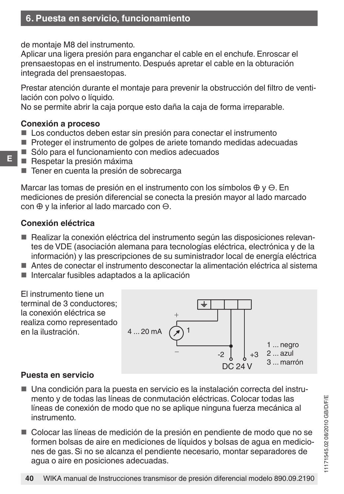de montaje M8 del instrumento.

Aplicar una ligera presión para enganchar el cable en el enchufe. Enroscar el prensaestopas en el instrumento. Después apretar el cable en la obturación integrada del prensaestopas.

Prestar atención durante el montaje para prevenir la obstrucción del filtro de ventilación con polvo o líquido.

No se permite abrir la caja porque esto daña la caja de forma irreparable.

## **Conexión a proceso**

- Los conductos deben estar sin presión para conectar el instrumento
- Proteger el instrumento de golpes de ariete tomando medidas adecuadas
- Sólo para el funcionamiento con medios adecuados
- Respetar la presión máxima
- Tener en cuenta la presión de sobrecarga

Marcar las tomas de presión en el instrumento con los símbolos ⊕ y ⊖. En mediciones de presión diferencial se conecta la presión mayor al lado marcado con ⊕ y la inferior al lado marcado con ⊖.

## **Conexión eléctrica**

- Realizar la conexión eléctrica del instrumento según las disposiciones relevantes de VDE (asociación alemana para tecnologías eléctrica, electrónica y de la información) y las prescripciones de su suministrador local de energía eléctrica
- Antes de conectar el instrumento desconectar la alimentación eléctrica al sistema
- Intercalar fusibles adaptados a la aplicación



## **Puesta en servicio**

- Una condición para la puesta en servicio es la instalación correcta del instrumento y de todas las líneas de conmutación eléctricas. Colocar todas las líneas de conexión de modo que no se aplique ninguna fuerza mecánica al instrumento.
- Colocar las líneas de medición de la presión en pendiente de modo que no se formen bolsas de aire en mediciones de líquidos y bolsas de agua en mediciones de gas. Si no se alcanza el pendiente necesario, montar separadores de agua o aire en posiciones adecuadas.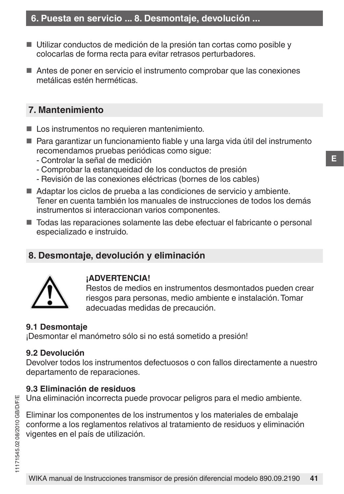# **6. Puesta en servicio ... 8. Desmontaje, devolución ...**

- Utilizar conductos de medición de la presión tan cortas como posible y colocarlas de forma recta para evitar retrasos perturbadores.
- Antes de poner en servicio el instrumento comprobar que las conexiones metálicas estén herméticas.

## **7. Mantenimiento**

- Los instrumentos no requieren mantenimiento.
- Para garantizar un funcionamiento fiable y una larga vida útil del instrumento recomendamos pruebas periódicas como sigue:
	- Controlar la señal de medición
	- Comprobar la estanqueidad de los conductos de presión
	- Revisión de las conexiones eléctricas (bornes de los cables)
- Adaptar los ciclos de prueba a las condiciones de servicio y ambiente. Tener en cuenta también los manuales de instrucciones de todos los demás instrumentos si interaccionan varios componentes.
- Todas las reparaciones solamente las debe efectuar el fabricante o personal especializado e instruido.

# **8. Desmontaje, devolución y eliminación**



#### **¡ADVERTENCIA!**

Restos de medios en instrumentos desmontados pueden crear riesgos para personas, medio ambiente e instalación. Tomar adecuadas medidas de precaución.

#### **9.1 Desmontaje**

¡Desmontar el manómetro sólo si no está sometido a presión!

#### **9.2 Devolución**

Devolver todos los instrumentos defectuosos o con fallos directamente a nuestro departamento de reparaciones.

#### **9.3 Eliminación de residuos**

Una eliminación incorrecta puede provocar peligros para el medio ambiente.

Eliminar los componentes de los instrumentos y los materiales de embalaje conforme a los reglamentos relativos al tratamiento de residuos y eliminación vigentes en el país de utilización.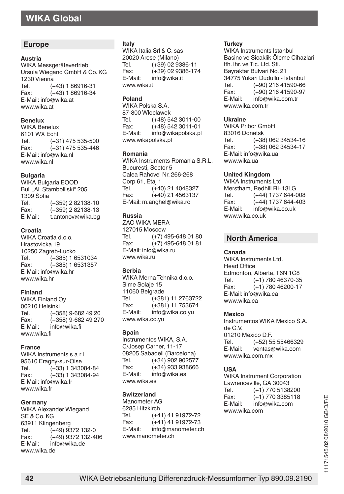#### **Europe**

#### **Austria**

WIKA Messgerätevertrieb Ursula Wiegand GmbH & Co. KG 1230 Vienna Tel.  $(+43)$  1 86916-31  $(+43)$  1 86916-34 E-Mail: info@wika.at www.wika.at

#### **Benelux**

WIKA Benelux 6101 WX Echt Tel. (+31) 475 535-500  $(+31)$  475 535-446 E-Mail: info@wika.nl www.wika.nl

#### **Bulgaria**

WIKA Bulgaria EOOD Bul. Al. Stambolijski" 205 1309 Sofia Tel. (+359) 2 82138-10<br>Eav: (+359) 2 82138-13 Fax: (+359) 2 82138-13<br>E-Mail: t.antonov@wika.bg t.antonov@wika.bg

#### **Croatia**

WIKA Croatia d.o.o. Hrastovicka 19 10250 Zagreb-Lucko<br>Tel. (+385) 16 Tel. (+385) 1 6531034<br>Fax: (+385) 1 6531357 (+385) 1 6531357 E-Mail: info@wika.hr www.wika.hr

#### **Finland**

WIKA Finland Oy 00210 Helsinki<br>Tel (+3 Tel. (+358) 9-682 49 20<br>Fax: (+358) 9-682 49 27 Fax: (+358) 9-682 49 270<br>F-Mail: info@wika fi info@wika.fi www.wika.fi

#### **France**

WIKA Instruments s.a.r.l. 95610 Eragny-sur-Oise Tel. (+33) 1 343084-84<br>Eav: (+33) 1 343084-94 (+33) 1 343084-94 E-Mail: info@wika.fr www.wika.fr

#### **Germany**

WIKA Alexander Wiegand SE & Co. KG 63911 Klingenberg<br>Tel (+49) 93 Tel. (+49) 9372 132-0<br>Fax: (+49) 9372 132-4 Fax: (+49) 9372 132-406<br>E-Mail: info@wika.de info@wika.de www.wika.de

#### **Italy**

WIKA Italia Srl & C. sas 20020 Arese (Milano)<br>Tel (+39).02.9 Tel. (+39) 02 9386-11<br>Eax: (+39) 02 9386-17 Fax: (+39) 02 9386-174<br>F-Mail: info@wika.it info@wika.it www.wika.it

#### **Poland**

WIKA Polska S.A. 87-800 Wloclawek<br>Tel (+48) 5 Tel. (+48) 542 3011-00<br>Eax: (+48) 542 3011-01 Fax: (+48) 542 3011-01<br>E-Mail: info@wikapolska.p info@wikapolska.pl www.wikapolska.pl

#### **Romania**

WIKA Instruments Romania S.R.L. Bucuresti, Sector 5 Calea Rahovei Nr. 266-268 Corp 61, Etaj 1<br>Tel  $(44$ Tel. (+40) 21 4048327<br>Eax: (+40) 21 4563137  $(+40)$  21 4563137 E-Mail: m.anghel@wika.ro

#### **Russia**

ZAO WIKA MERA 127015 Moscow Tel. (+7) 495-648 01 80<br>Fax: (+7) 495-648 01 81  $(+7)$  495-648 01 81 E-Mail: info@wika.ru www.wika.ru

#### **Serbia**

WIKA Merna Tehnika d.o.o. Sime Solaje 15 11060 Belgrade Tel. (+381) 11 2763722<br>Eax: (+381) 11 753674 Fax: (+381) 11 753674<br>F-Mail: info@wika.co.vu info@wika.co.yu www.wika.co.yu

#### **Spain**

Instrumentos WIKA, S.A. C/Josep Carner, 11-17 08205 Sabadell (Barcelona)<br>Tel (+34) 902 90257 Tel. (+34) 902 902577<br>Eax: (+34) 933 938666 Fax: (+34) 933 938666<br>E-Mail: info@wika.es info@wika.es www.wika.es

#### **Switzerland**

Manometer AG 6285 Hitzkirch<br>Tel. (+4 Tel. (+41) 41 91972-72<br>Fax: (+41) 41 91972-73 Fax: (+41) 41 91972-73 info@manometer.ch www.manometer.ch

#### **Turkey**

WIKA Instruments Istanbul Basinc ve Sicaklik Ölcme Cihazlari Ith. Ihr. ve Tic. Ltd. Sti. Bayraktar Bulvari No. 21 34775 Yukari Dudullu - Istanbul<br>Tel (+90) 216 41590-66 Tel. (+90) 216 41590-66<br>Fax: (+90) 216 41590-97 Fax: (+90) 216 41590-97<br>F-Mail: info@wika.com.tr info@wika.com.tr www.wika.com.tr

#### **Ukraine**

WIKA Pribor GmbH 83016 Donetsk<br>Tel (+38 Tel. (+38) 062 34534-16<br>Eax: (+38) 062 34534-17  $(+38)$  062 34534-17 E-Mail: info@wika.ua www.wika.ua

#### **United Kingdom**

WIKA Instruments Ltd Merstham, Redhill RH13LG<br>Tel (+44) 1737 644-Tel. (+44) 1737 644-008<br>Fax: (+44) 1737 644-403 Fax:  $(+44)$  1737 644-403<br>F-Mail: info@wika.co.uk info@wika.co.uk www.wika.co.uk

#### **North America**

#### **Canada**

WIKA Instruments Ltd. Head Office Edmonton, Alberta, T6N 1C8<br>Tel. (+1) 780 46370-3 Tel. (+1) 780 46370-35<br>Fax: (+1) 780 46200-17 Fax: (+1) 780 46200-17 E-Mail: info@wika.ca www.wika.ca

#### **Mexico**

Instrumentos WIKA Mexico S.A. de C.V. 01210 Mexico D.F.<br>Tel (+52) 5 Tel. (+52) 55 55466329<br>E-Mail: ventas@wika.com ventas@wika.com www.wika.com.mx

#### **USA**

WIKA Instrument Corporation Lawrenceville, GA 30043<br>Tel. (+1) 770 5138 Tel. (+1) 770 5138200<br>Eav: (+1) 770 3385118 Fax: (+1) 770 3385118<br>F-Mail: info@wika.com info@wika.com www.wika.com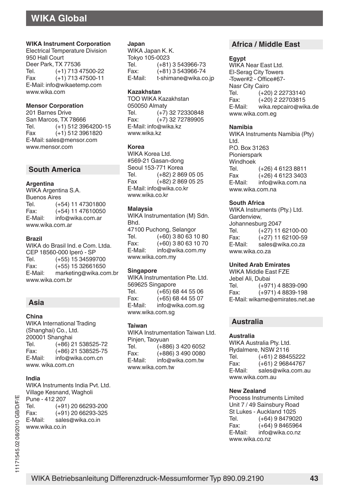# **WIKA Global**

#### **WIKA Instrument Corporation**

Electrical Temperature Division 950 Hall Court Deer Park, TX 77536<br>Tel (+1) 7134 Tel. (+1) 713 47500-22<br>Eax (+1) 713 47500-11  $(+1)$  713 47500-11 E-Mail: info@wikaetemp.com www.wika.com

#### **Mensor Corporation**

201 Barnes Drive San Marcos, TX 78666<br>Tel (+1) 512.39 Tel. (+1) 512 3964200-15<br>Eax (+1) 512 3961820  $(+1)$  512 3961820 E-Mail: sales@mensor.com www.mensor.com

#### **South America**

#### **Argentina**

WIKA Argentina S.A. Buenos Aires Tel. (+54) 11 47301800<br>Eax: (+54) 11 47610050 Fax: (+54) 11 47610050<br>F-Mail: info@wika.com.ar info@wika.com.ar www.wika.com.ar

#### **Brazil**

WIKA do Brasil Ind. e Com. Ltda. CEP 18560-000 Iperó - SP<br>Tel. (+55) 15 34599 Tel. (+55) 15 34599700<br>Eax: (+55) 15 32661650 **Fax:** (+55) 15 32661650<br>**F-Mail:** marketing@wika.co marketing@wika.com.br www.wika.com.br

#### **Asia**

#### **China**

WIKA International Trading (Shanghai) Co., Ltd. 200001 Shanghai<br>Tel (+86) Tel. (+86) 21 538525-72<br>Eav: (+86) 21 538525-75 **Fax:** (+86) 21 538525-75<br>F-Mail: info@wika.com.cn info@wika.com.cn www. wika.com.cn

#### **India**

WIKA Instruments India Pvt. Ltd. Village Kesnand, Wagholi Pune - 412 207<br>Tel (+91 Tel. (+91) 20 66293-200<br>Fax: (+91) 20 66293-325 Fax: (+91) 20 66293-325<br>E-Mail: sales@wika.co.in sales@wika.co.in www.wika.co.in

#### **Japan**

WIKA Japan K. K. Tokyo 105-0023 Tel. (+81) 3 543966-73<br>Eax: (+81) 3 543966-74 Fax: (+81) 3 543966-74<br>F-Mail: t-shimane@wika.co t-shimane@wika.co.jp

#### **Kazakhstan**

TOO WIKA Kazakhstan 050050 Almaty<br>Tel (+7) Tel.  $(+7)$  32 72330848<br>Fax:  $(+7)$  32 72789905  $(+7)$  32 72789905 E-Mail: info@wika.kz www.wika.kz

#### **Korea**

WIKA Korea Ltd. #569-21 Gasan-dong Seoul 153-771 Korea<br>Tel. (+82) 286 Tel. (+82) 2 869 05 05<br>Eax (+82) 2 869 05 25  $(+82)$  2 869 05 25 E-Mail: info@wika.co.kr www.wika.co.kr

#### **Malaysia**

WIKA Instrumentation (M) Sdn. Bhd. 47100 Puchong, Selangor<br>Tel (+60) 3.80.63.1 Tel.  $(+60)$  3 80 63 10 80<br>Fax:  $(+60)$  3 80 63 10 70 Fax: (+60) 3 80 63 10 70<br>F-Mail: info@wika.com.mv info@wika.com.my www.wika.com.my

#### **Singapore**

WIKA Instrumentation Pte. Ltd. 569625 Singapore<br>Tel. (+65) 6 Tel. (+65) 68 44 55 06<br>Fax: (+65) 68 44 55 07 Fax: (+65) 68 44 55 07<br>F-Mail: info@wika.com.so info@wika.com.sq www.wika.com.sg

#### **Taiwan**

WIKA Instrumentation Taiwan Ltd. Pinjen, Taoyuan Tel. (+886) 3 420 6052<br>Eax: (+886) 3 490 0080 Fax: (+886) 3 490 0080 info@wika.com.tw www.wika.com.tw

#### **Africa / Middle East**

#### **Egypt**

WIKA Near East Ltd. El-Serag City Towers -Tower#2 - Office#67- Nasr City Cairo<br>Tel (+20 Tel. (+20) 2 22733140<br>Eax: (+20) 2 22703815 Fax: (+20) 2 22703815<br>E-Mail: wika.repcairo@wik wika.repcairo@wika.de www.wika.com.eg

#### **Namibia**

WIKA Instruments Namibia (Pty)  $L_{\rm H}$ P.O. Box 31263 Pionierspark Windhoek<br>Tol Tel. (+26) 4 6123 8811<br>Fax (+26) 4 6123 3403 Fax (+26) 4 6123 3403<br>F-Mail: info@wika.com.na info@wika.com.na www.wika.com.na

#### **South Africa**

WIKA Instruments (Pty.) Ltd. Gardenview, Johannesburg 2047<br>Tel. (+27) 11 Tel. (+27) 11 62100-00<br>Fax: (+27) 11 62100-59 **Fax:** (+27) 11 62100-59<br>F-Mail: sales@wika.co.za sales@wika.co.za www.wika.co.za

#### **United Arab Emirates**

WIKA Middle East FZE Jebel Ali, Dubai<br>Tel (+97 Tel. (+971) 4 8839-090<br>Fax: (+971) 4 8839-198 (+971) 4 8839-198 E-Mail: wikame@emirates.net.ae

#### **Australia**

#### **Australia**

WIKA Australia Pty. Ltd. Rydalmere, NSW 2116<br>Tel (+61) 2884 Tel. (+61) 2 88455222<br>Eax: (+61) 2 96844767 Fax: (+61) 2 96844767<br>E-Mail: sales@wika.com.a sales@wika.com.au www.wika.com.au

#### **New Zealand**

Process Instruments Limited Unit 7 / 49 Sainsbury Road St Lukes - Auckland 1025<br>Tel (+64) 9 84790 Tel. (+64) 9 8479020 Fax:  $(+64)$  9 8465964<br>F-Mail: info@wika.co.nz  $in$ fo $\omega$ wika.co.nz www.wika.co.nz